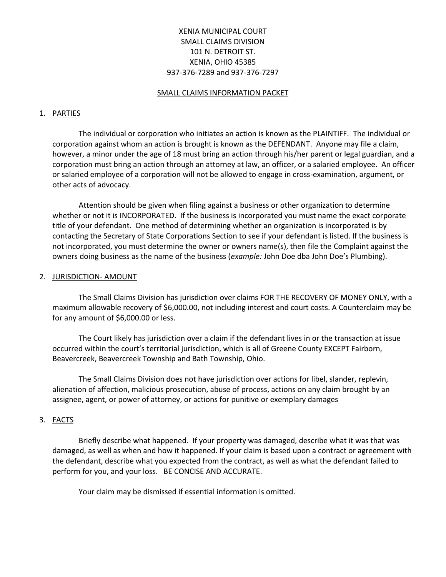# XENIA MUNICIPAL COURT SMALL CLAIMS DIVISION 101 N. DETROIT ST. XENIA, OHIO 45385 937-376-7289 and 937-376-7297

#### SMALL CLAIMS INFORMATION PACKET

#### 1. PARTIES

The individual or corporation who initiates an action is known as the PLAINTIFF. The individual or corporation against whom an action is brought is known as the DEFENDANT. Anyone may file a claim, however, a minor under the age of 18 must bring an action through his/her parent or legal guardian, and a corporation must bring an action through an attorney at law, an officer, or a salaried employee. An officer or salaried employee of a corporation will not be allowed to engage in cross-examination, argument, or other acts of advocacy.

Attention should be given when filing against a business or other organization to determine whether or not it is INCORPORATED. If the business is incorporated you must name the exact corporate title of your defendant. One method of determining whether an organization is incorporated is by contacting the Secretary of State Corporations Section to see if your defendant is listed. If the business is not incorporated, you must determine the owner or owners name(s), then file the Complaint against the owners doing business as the name of the business (*example:* John Doe dba John Doe's Plumbing).

#### 2. JURISDICTION- AMOUNT

The Small Claims Division has jurisdiction over claims FOR THE RECOVERY OF MONEY ONLY, with a maximum allowable recovery of \$6,000.00, not including interest and court costs. A Counterclaim may be for any amount of \$6,000.00 or less.

The Court likely has jurisdiction over a claim if the defendant lives in or the transaction at issue occurred within the court's territorial jurisdiction, which is all of Greene County EXCEPT Fairborn, Beavercreek, Beavercreek Township and Bath Township, Ohio.

The Small Claims Division does not have jurisdiction over actions for libel, slander, replevin, alienation of affection, malicious prosecution, abuse of process, actions on any claim brought by an assignee, agent, or power of attorney, or actions for punitive or exemplary damages

# 3. FACTS

Briefly describe what happened. If your property was damaged, describe what it was that was damaged, as well as when and how it happened. If your claim is based upon a contract or agreement with the defendant, describe what you expected from the contract, as well as what the defendant failed to perform for you, and your loss. BE CONCISE AND ACCURATE.

Your claim may be dismissed if essential information is omitted.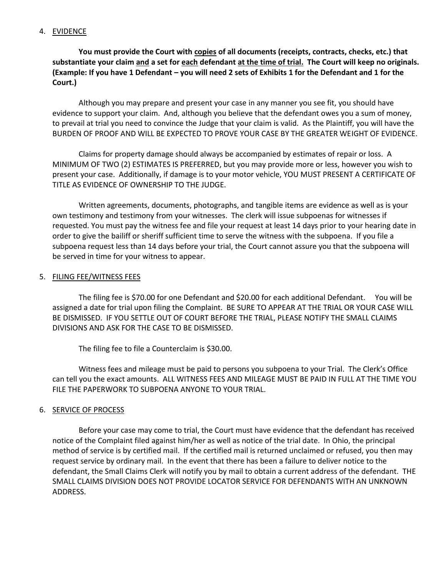# 4. EVIDENCE

**You must provide the Court with copies of all documents (receipts, contracts, checks, etc.) that substantiate your claim and a set for each defendant at the time of trial. The Court will keep no originals. (Example: If you have 1 Defendant – you will need 2 sets of Exhibits 1 for the Defendant and 1 for the Court.)**

Although you may prepare and present your case in any manner you see fit, you should have evidence to support your claim. And, although you believe that the defendant owes you a sum of money, to prevail at trial you need to convince the Judge that your claim is valid. As the Plaintiff, you will have the BURDEN OF PROOF AND WILL BE EXPECTED TO PROVE YOUR CASE BY THE GREATER WEIGHT OF EVIDENCE.

Claims for property damage should always be accompanied by estimates of repair or loss. A MINIMUM OF TWO (2) ESTIMATES IS PREFERRED, but you may provide more or less, however you wish to present your case. Additionally, if damage is to your motor vehicle, YOU MUST PRESENT A CERTIFICATE OF TITLE AS EVIDENCE OF OWNERSHIP TO THE JUDGE.

Written agreements, documents, photographs, and tangible items are evidence as well as is your own testimony and testimony from your witnesses. The clerk will issue subpoenas for witnesses if requested. You must pay the witness fee and file your request at least 14 days prior to your hearing date in order to give the bailiff or sheriff sufficient time to serve the witness with the subpoena. If you file a subpoena request less than 14 days before your trial, the Court cannot assure you that the subpoena will be served in time for your witness to appear.

#### 5. FILING FEE/WITNESS FEES

The filing fee is \$70.00 for one Defendant and \$20.00 for each additional Defendant. You will be assigned a date for trial upon filing the Complaint. BE SURE TO APPEAR AT THE TRIAL OR YOUR CASE WILL BE DISMISSED. IF YOU SETTLE OUT OF COURT BEFORE THE TRIAL, PLEASE NOTIFY THE SMALL CLAIMS DIVISIONS AND ASK FOR THE CASE TO BE DISMISSED.

The filing fee to file a Counterclaim is \$30.00.

Witness fees and mileage must be paid to persons you subpoena to your Trial. The Clerk's Office can tell you the exact amounts. ALL WITNESS FEES AND MILEAGE MUST BE PAID IN FULL AT THE TIME YOU FILE THE PAPERWORK TO SUBPOENA ANYONE TO YOUR TRIAL.

#### 6. SERVICE OF PROCESS

Before your case may come to trial, the Court must have evidence that the defendant has received notice of the Complaint filed against him/her as well as notice of the trial date. In Ohio, the principal method of service is by certified mail. If the certified mail is returned unclaimed or refused, you then may request service by ordinary mail. In the event that there has been a failure to deliver notice to the defendant, the Small Claims Clerk will notify you by mail to obtain a current address of the defendant. THE SMALL CLAIMS DIVISION DOES NOT PROVIDE LOCATOR SERVICE FOR DEFENDANTS WITH AN UNKNOWN ADDRESS.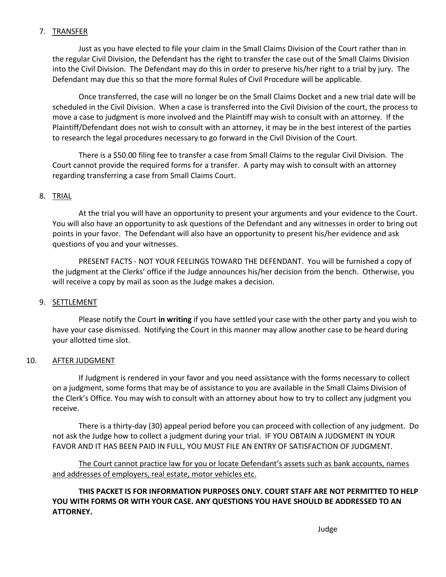# 7. TRANSFER

Just as you have elected to file your claim in the Small Claims Division of the Court rather than in the regular Civil Division, the Defendant has the right to transfer the case out of the Small Claims Division into the Civil Division. The Defendant may do this in order to preserve his/her right to a trial by jury. The Defendant may due this so that the more formal Rules of Civil Procedure will be applicable.

Once transferred, the case will no longer be on the Small Claims Docket and a new trial date will be scheduled in the Civil Division. When a case is transferred into the Civil Division of the court, the process to move a case to judgment is more involved and the Plaintiff may wish to consult with an attorney. If the Plaintiff/Defendant does not wish to consult with an attorney, it may be in the best interest of the parties to research the legal procedures necessary to go forward in the Civil Division of the Court.

There is a \$50.00 filing fee to transfer a case from Small Claims to the regular Civil Division. The Court cannot provide the required forms for a transfer. A party may wish to consult with an attorney regarding transferring a case from Small Claims Court.

# 8. TRIAL

At the trial you will have an opportunity to present your arguments and your evidence to the Court. You will also have an opportunity to ask questions of the Defendant and any witnesses in order to bring out points in your favor. The Defendant will also have an opportunity to present his/her evidence and ask questions of you and your witnesses.

PRESENT FACTS - NOT YOUR FEELINGS TOWARD THE DEFENDANT. You will be furnished a copy of the judgment at the Clerks' office if the Judge announces his/her decision from the bench. Otherwise, you will receive a copy by mail as soon as the Judge makes a decision.

#### 9. SETTLEMENT

Please notify the Court **in writing** if you have settled your case with the other party and you wish to have your case dismissed. Notifying the Court in this manner may allow another case to be heard during your allotted time slot.

#### 10. AFTER JUDGMENT

If Judgment is rendered in your favor and you need assistance with the forms necessary to collect on a judgment, some forms that may be of assistance to you are available in the Small Claims Division of the Clerk's Office. You may wish to consult with an attorney about how to try to collect any judgment you receive.

There is a thirty-day (30) appeal period before you can proceed with collection of any judgment. Do not ask the Judge how to collect a judgment during your trial. IF YOU OBTAIN A JUDGMENT IN YOUR FAVOR AND IT HAS BEEN PAID IN FULL, YOU MUST FILE AN ENTRY OF SATISFACTION OF JUDGMENT.

The Court cannot practice law for you or locate Defendant's assets such as bank accounts, names and addresses of employers, real estate, motor vehicles etc.

**THIS PACKET IS FOR INFORMATION PURPOSES ONLY. COURT STAFF ARE NOT PERMITTED TO HELP YOU WITH FORMS OR WITH YOUR CASE. ANY QUESTIONS YOU HAVE SHOULD BE ADDRESSED TO AN ATTORNEY.**